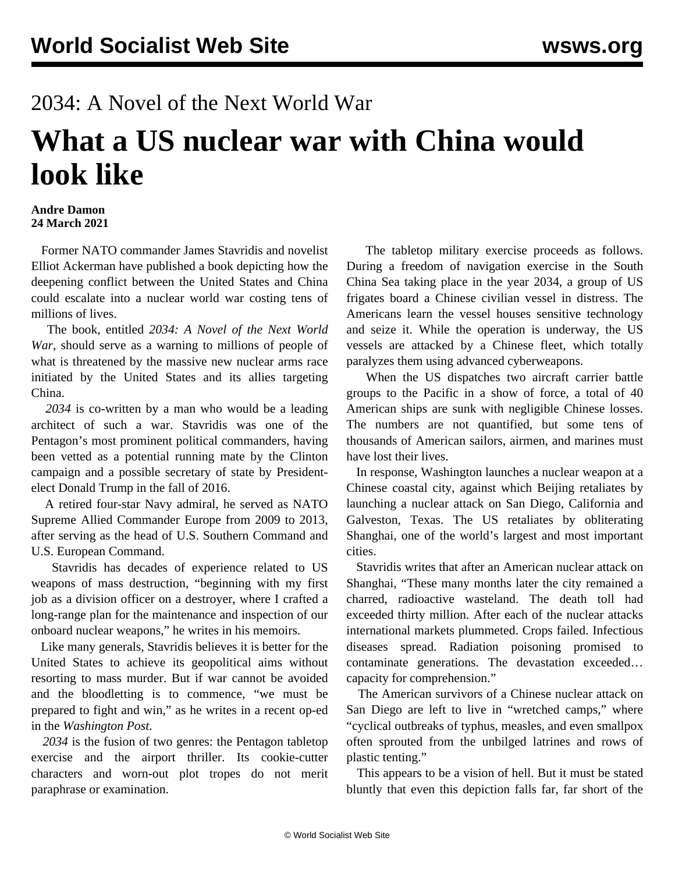## 2034: A Novel of the Next World War **What a US nuclear war with China would look like**

## **Andre Damon 24 March 2021**

 Former NATO commander James Stavridis and novelist Elliot Ackerman have published a book depicting how the deepening conflict between the United States and China could escalate into a nuclear world war costing tens of millions of lives.

 The book, entitled *2034: A Novel of the Next World War*, should serve as a warning to millions of people of what is threatened by the massive new nuclear arms race initiated by the United States and its allies targeting China.

 *2034* is co-written by a man who would be a leading architect of such a war. Stavridis was one of the Pentagon's most prominent political commanders, having been vetted as a potential running mate by the Clinton campaign and a possible secretary of state by Presidentelect Donald Trump in the fall of 2016.

 A retired four-star Navy admiral, he served as NATO Supreme Allied Commander Europe from 2009 to 2013, after serving as the head of U.S. Southern Command and U.S. European Command.

 Stavridis has decades of experience related to US weapons of mass destruction, "beginning with my first job as a division officer on a destroyer, where I crafted a long-range plan for the maintenance and inspection of our onboard nuclear weapons," he writes in his memoirs.

 Like many generals, Stavridis believes it is better for the United States to achieve its geopolitical aims without resorting to mass murder. But if war cannot be avoided and the bloodletting is to commence, "we must be prepared to fight and win," as he writes in a recent op-ed in the *Washington Post*.

 *2034* is the fusion of two genres: the Pentagon tabletop exercise and the airport thriller. Its cookie-cutter characters and worn-out plot tropes do not merit paraphrase or examination.

 The tabletop military exercise proceeds as follows. During a freedom of navigation exercise in the South China Sea taking place in the year 2034, a group of US frigates board a Chinese civilian vessel in distress. The Americans learn the vessel houses sensitive technology and seize it. While the operation is underway, the US vessels are attacked by a Chinese fleet, which totally paralyzes them using advanced cyberweapons.

 When the US dispatches two aircraft carrier battle groups to the Pacific in a show of force, a total of 40 American ships are sunk with negligible Chinese losses. The numbers are not quantified, but some tens of thousands of American sailors, airmen, and marines must have lost their lives.

 In response, Washington launches a nuclear weapon at a Chinese coastal city, against which Beijing retaliates by launching a nuclear attack on San Diego, California and Galveston, Texas. The US retaliates by obliterating Shanghai, one of the world's largest and most important cities.

 Stavridis writes that after an American nuclear attack on Shanghai, "These many months later the city remained a charred, radioactive wasteland. The death toll had exceeded thirty million. After each of the nuclear attacks international markets plummeted. Crops failed. Infectious diseases spread. Radiation poisoning promised to contaminate generations. The devastation exceeded… capacity for comprehension."

 The American survivors of a Chinese nuclear attack on San Diego are left to live in "wretched camps," where "cyclical outbreaks of typhus, measles, and even smallpox often sprouted from the unbilged latrines and rows of plastic tenting."

 This appears to be a vision of hell. But it must be stated bluntly that even this depiction falls far, far short of the